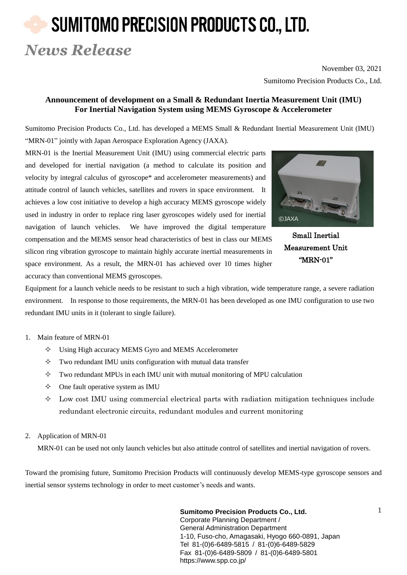# SUMITOMO PRECISION PRODUCTS CO., LTD.

### *News Release*

November 03, 2021 Sumitomo Precision Products Co., Ltd.

#### **Announcement of development on a Small & Redundant Inertia Measurement Unit (IMU) For Inertial Navigation System using MEMS Gyroscope & Accelerometer**

Sumitomo Precision Products Co., Ltd. has developed a MEMS Small & Redundant Inertial Measurement Unit (IMU) "MRN-01" jointly with Japan Aerospace Exploration Agency (JAXA).

MRN-01 is the Inertial Measurement Unit (IMU) using commercial electric parts and developed for inertial navigation (a method to calculate its position and velocity by integral calculus of gyroscope\* and accelerometer measurements) and attitude control of launch vehicles, satellites and rovers in space environment. It achieves a low cost initiative to develop a high accuracy MEMS gyroscope widely used in industry in order to replace ring laser gyroscopes widely used for inertial navigation of launch vehicles. We have improved the digital temperature compensation and the MEMS sensor head characteristics of best in class our MEMS silicon ring vibration gyroscope to maintain highly accurate inertial measurements in space environment. As a result, the MRN-01 has achieved over 10 times higher accuracy than conventional MEMS gyroscopes.



Small Inertial Measurement Unit "MRN-01"

Equipment for a launch vehicle needs to be resistant to such a high vibration, wide temperature range, a severe radiation environment. In response to those requirements, the MRN-01 has been developed as one IMU configuration to use two redundant IMU units in it (tolerant to single failure).

#### 1. Main feature of MRN-01

- Using High accuracy MEMS Gyro and MEMS Accelerometer
- $\Diamond$  Two redundant IMU units configuration with mutual data transfer
- $\Diamond$  Two redundant MPUs in each IMU unit with mutual monitoring of MPU calculation
- $\Diamond$  One fault operative system as IMU
- $\Diamond$  Low cost IMU using commercial electrical parts with radiation mitigation techniques include redundant electronic circuits, redundant modules and current monitoring
- 2. Application of MRN-01

MRN-01 can be used not only launch vehicles but also attitude control of satellites and inertial navigation of rovers.

Toward the promising future, Sumitomo Precision Products will continuously develop MEMS-type gyroscope sensors and inertial sensor systems technology in order to meet customer's needs and wants.

> **Sumitomo Precision Products Co., Ltd.** 2022. 2022. Corporate Planning Department / General Administration Department 1-10, Fuso-cho, Amagasaki, Hyogo 660-0891, Japan Tel 81-(0)6-6489-5815 / 81-(0)6-6489-5829 Fax 81-(0)6-6489-5809 / 81-(0)6-6489-5801 https://www.spp.co.jp/